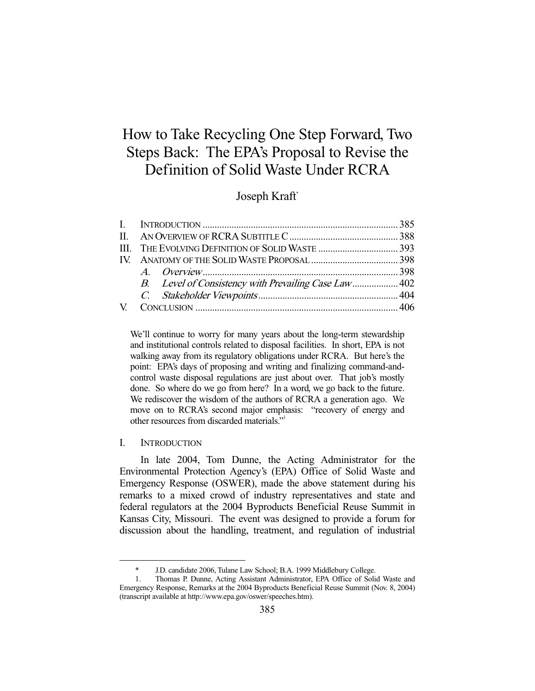# How to Take Recycling One Step Forward, Two Steps Back: The EPA's Proposal to Revise the Definition of Solid Waste Under RCRA

# Joseph Kraft<sup>\*</sup>

| B. Level of Consistency with Prevailing Case Law 402 |  |
|------------------------------------------------------|--|
|                                                      |  |
|                                                      |  |

We'll continue to worry for many years about the long-term stewardship and institutional controls related to disposal facilities. In short, EPA is not walking away from its regulatory obligations under RCRA. But here's the point: EPA's days of proposing and writing and finalizing command-andcontrol waste disposal regulations are just about over. That job's mostly done. So where do we go from here? In a word, we go back to the future. We rediscover the wisdom of the authors of RCRA a generation ago. We move on to RCRA's second major emphasis: "recovery of energy and other resources from discarded materials."

# I. INTRODUCTION

-

 In late 2004, Tom Dunne, the Acting Administrator for the Environmental Protection Agency's (EPA) Office of Solid Waste and Emergency Response (OSWER), made the above statement during his remarks to a mixed crowd of industry representatives and state and federal regulators at the 2004 Byproducts Beneficial Reuse Summit in Kansas City, Missouri. The event was designed to provide a forum for discussion about the handling, treatment, and regulation of industrial

 <sup>\*</sup> J.D. candidate 2006, Tulane Law School; B.A. 1999 Middlebury College.

 <sup>1.</sup> Thomas P. Dunne, Acting Assistant Administrator, EPA Office of Solid Waste and Emergency Response, Remarks at the 2004 Byproducts Beneficial Reuse Summit (Nov. 8, 2004) (transcript available at http://www.epa.gov/oswer/speeches.htm).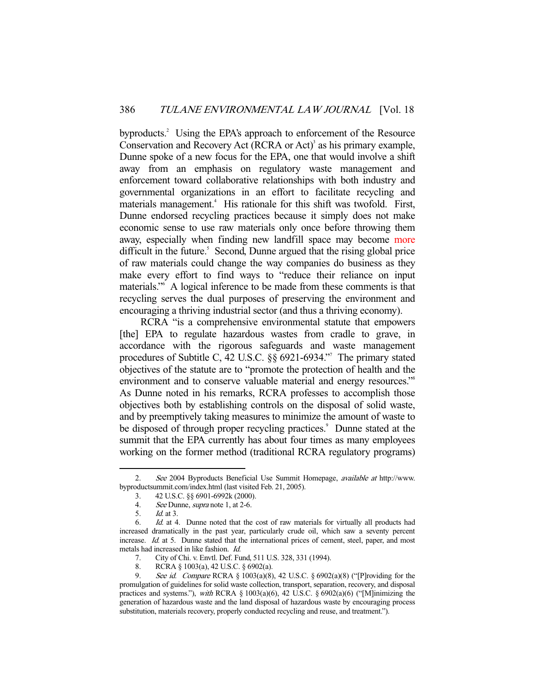byproducts.<sup>2</sup> Using the EPA's approach to enforcement of the Resource Conservation and Recovery Act (RCRA or Act)<sup>3</sup> as his primary example, Dunne spoke of a new focus for the EPA, one that would involve a shift away from an emphasis on regulatory waste management and enforcement toward collaborative relationships with both industry and governmental organizations in an effort to facilitate recycling and materials management.<sup>4</sup> His rationale for this shift was twofold. First, Dunne endorsed recycling practices because it simply does not make economic sense to use raw materials only once before throwing them away, especially when finding new landfill space may become more difficult in the future.<sup>5</sup> Second, Dunne argued that the rising global price of raw materials could change the way companies do business as they make every effort to find ways to "reduce their reliance on input materials."6 A logical inference to be made from these comments is that recycling serves the dual purposes of preserving the environment and encouraging a thriving industrial sector (and thus a thriving economy).

 RCRA "is a comprehensive environmental statute that empowers [the] EPA to regulate hazardous wastes from cradle to grave, in accordance with the rigorous safeguards and waste management procedures of Subtitle C, 42 U.S.C. §§ 6921-6934."7 The primary stated objectives of the statute are to "promote the protection of health and the environment and to conserve valuable material and energy resources."<sup>8</sup> As Dunne noted in his remarks, RCRA professes to accomplish those objectives both by establishing controls on the disposal of solid waste, and by preemptively taking measures to minimize the amount of waste to be disposed of through proper recycling practices.<sup>9</sup> Dunne stated at the summit that the EPA currently has about four times as many employees working on the former method (traditional RCRA regulatory programs)

See 2004 Byproducts Beneficial Use Summit Homepage, available at http://www. byproductsummit.com/index.html (last visited Feb. 21, 2005).

 <sup>3. 42</sup> U.S.C. §§ 6901-6992k (2000).

<sup>4.</sup> See Dunne, *supra* note 1, at 2-6.<br>5. Id. at 3.

 $Id$  at 3.

 <sup>6.</sup> Id. at 4. Dunne noted that the cost of raw materials for virtually all products had increased dramatically in the past year, particularly crude oil, which saw a seventy percent increase. Id. at 5. Dunne stated that the international prices of cement, steel, paper, and most metals had increased in like fashion. Id.

 <sup>7.</sup> City of Chi. v. Envtl. Def. Fund, 511 U.S. 328, 331 (1994).

 <sup>8.</sup> RCRA § 1003(a), 42 U.S.C. § 6902(a).

 <sup>9.</sup> See id. Compare RCRA § 1003(a)(8), 42 U.S.C. § 6902(a)(8) ("[P]roviding for the promulgation of guidelines for solid waste collection, transport, separation, recovery, and disposal practices and systems."), with RCRA § 1003(a)(6), 42 U.S.C. § 6902(a)(6) ("[M]inimizing the generation of hazardous waste and the land disposal of hazardous waste by encouraging process substitution, materials recovery, properly conducted recycling and reuse, and treatment.").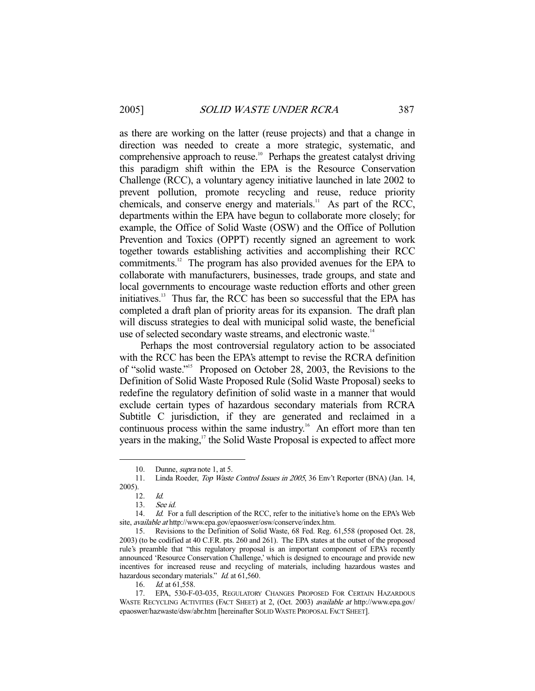as there are working on the latter (reuse projects) and that a change in direction was needed to create a more strategic, systematic, and comprehensive approach to reuse.<sup>10</sup> Perhaps the greatest catalyst driving this paradigm shift within the EPA is the Resource Conservation Challenge (RCC), a voluntary agency initiative launched in late 2002 to prevent pollution, promote recycling and reuse, reduce priority chemicals, and conserve energy and materials.<sup>11</sup> As part of the RCC, departments within the EPA have begun to collaborate more closely; for example, the Office of Solid Waste (OSW) and the Office of Pollution Prevention and Toxics (OPPT) recently signed an agreement to work together towards establishing activities and accomplishing their RCC commitments.12 The program has also provided avenues for the EPA to collaborate with manufacturers, businesses, trade groups, and state and local governments to encourage waste reduction efforts and other green initiatives.13 Thus far, the RCC has been so successful that the EPA has completed a draft plan of priority areas for its expansion. The draft plan will discuss strategies to deal with municipal solid waste, the beneficial use of selected secondary waste streams, and electronic waste.<sup>14</sup>

 Perhaps the most controversial regulatory action to be associated with the RCC has been the EPA's attempt to revise the RCRA definition of "solid waste."15 Proposed on October 28, 2003, the Revisions to the Definition of Solid Waste Proposed Rule (Solid Waste Proposal) seeks to redefine the regulatory definition of solid waste in a manner that would exclude certain types of hazardous secondary materials from RCRA Subtitle C jurisdiction, if they are generated and reclaimed in a continuous process within the same industry.<sup>16</sup> An effort more than ten years in the making, $17$  the Solid Waste Proposal is expected to affect more

<sup>10.</sup> Dunne, *supra* note 1, at 5.

 <sup>11.</sup> Linda Roeder, Top Waste Control Issues in 2005, 36 Env't Reporter (BNA) (Jan. 14, 2005).

 $12.$  Id.

 <sup>13.</sup> See id.

<sup>14.</sup> *Id.* For a full description of the RCC, refer to the initiative's home on the EPA's Web site, available at http://www.epa.gov/epaoswer/osw/conserve/index.htm.

 <sup>15.</sup> Revisions to the Definition of Solid Waste, 68 Fed. Reg. 61,558 (proposed Oct. 28, 2003) (to be codified at 40 C.F.R. pts. 260 and 261). The EPA states at the outset of the proposed rule's preamble that "this regulatory proposal is an important component of EPA's recently announced 'Resource Conservation Challenge,' which is designed to encourage and provide new incentives for increased reuse and recycling of materials, including hazardous wastes and hazardous secondary materials." Id. at 61,560.

<sup>16.</sup> *Id.* at 61,558.

 <sup>17.</sup> EPA, 530-F-03-035, REGULATORY CHANGES PROPOSED FOR CERTAIN HAZARDOUS WASTE RECYCLING ACTIVITIES (FACT SHEET) at 2, (Oct. 2003) available at http://www.epa.gov/ epaoswer/hazwaste/dsw/abr.htm [hereinafter SOLID WASTE PROPOSAL FACT SHEET].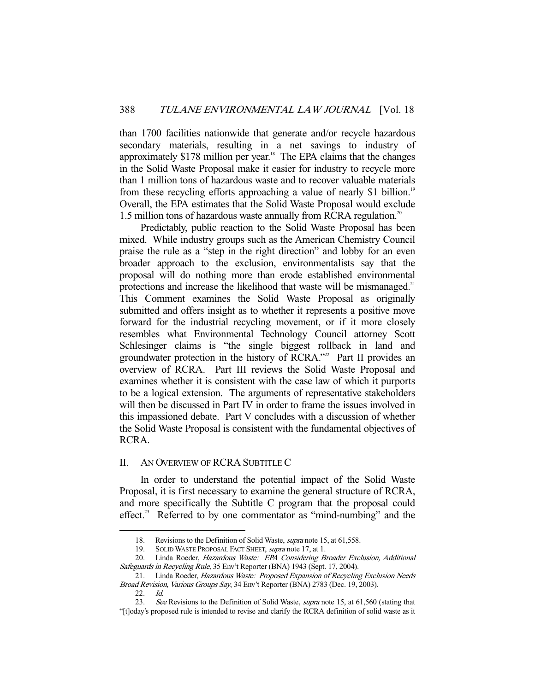than 1700 facilities nationwide that generate and/or recycle hazardous secondary materials, resulting in a net savings to industry of approximately \$178 million per year.<sup>18</sup> The EPA claims that the changes in the Solid Waste Proposal make it easier for industry to recycle more than 1 million tons of hazardous waste and to recover valuable materials from these recycling efforts approaching a value of nearly \$1 billion.<sup>19</sup> Overall, the EPA estimates that the Solid Waste Proposal would exclude 1.5 million tons of hazardous waste annually from RCRA regulation.<sup>20</sup>

 Predictably, public reaction to the Solid Waste Proposal has been mixed. While industry groups such as the American Chemistry Council praise the rule as a "step in the right direction" and lobby for an even broader approach to the exclusion, environmentalists say that the proposal will do nothing more than erode established environmental protections and increase the likelihood that waste will be mismanaged. $2<sup>1</sup>$ This Comment examines the Solid Waste Proposal as originally submitted and offers insight as to whether it represents a positive move forward for the industrial recycling movement, or if it more closely resembles what Environmental Technology Council attorney Scott Schlesinger claims is "the single biggest rollback in land and groundwater protection in the history of RCRA."<sup>22</sup> Part II provides an overview of RCRA. Part III reviews the Solid Waste Proposal and examines whether it is consistent with the case law of which it purports to be a logical extension. The arguments of representative stakeholders will then be discussed in Part IV in order to frame the issues involved in this impassioned debate. Part V concludes with a discussion of whether the Solid Waste Proposal is consistent with the fundamental objectives of RCRA.

### II. AN OVERVIEW OF RCRA SUBTITLE C

 In order to understand the potential impact of the Solid Waste Proposal, it is first necessary to examine the general structure of RCRA, and more specifically the Subtitle C program that the proposal could effect.<sup>23</sup> Referred to by one commentator as "mind-numbing" and the

<sup>18.</sup> Revisions to the Definition of Solid Waste, *supra* note 15, at 61,558.<br>19. SOLID WASTE PROPOSAL FACT SHEET, *supra* note 17, at 1.

SOLID WASTE PROPOSAL FACT SHEET, *supra* note 17, at 1.

<sup>20.</sup> Linda Roeder, Hazardous Waste: EPA Considering Broader Exclusion, Additional Safeguards in Recycling Rule, 35 Env't Reporter (BNA) 1943 (Sept. 17, 2004).

<sup>21.</sup> Linda Roeder, Hazardous Waste: Proposed Expansion of Recycling Exclusion Needs Broad Revision, Various Groups Say, 34 Env't Reporter (BNA) 2783 (Dec. 19, 2003).

 <sup>22.</sup> Id.

<sup>23.</sup> See Revisions to the Definition of Solid Waste, supra note 15, at 61,560 (stating that "[t]oday's proposed rule is intended to revise and clarify the RCRA definition of solid waste as it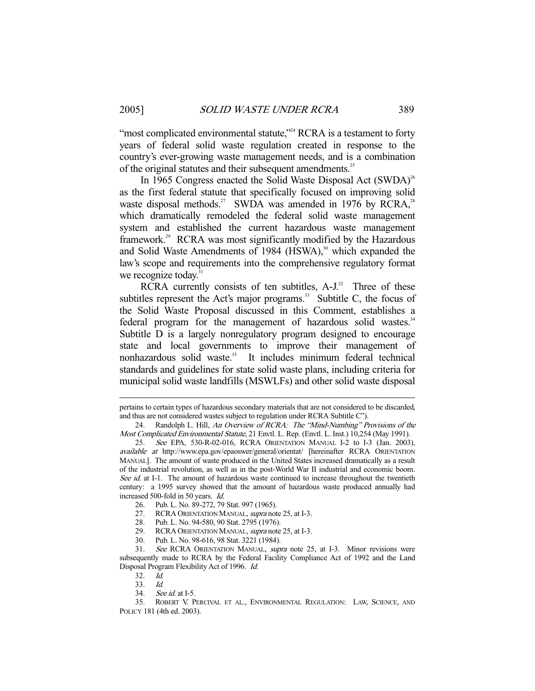"most complicated environmental statute,"<sup>24</sup> RCRA is a testament to forty years of federal solid waste regulation created in response to the country's ever-growing waste management needs, and is a combination of the original statutes and their subsequent amendments.<sup>25</sup>

In 1965 Congress enacted the Solid Waste Disposal Act  $(SWDA)^{26}$ as the first federal statute that specifically focused on improving solid waste disposal methods.<sup>27</sup> SWDA was amended in 1976 by RCRA,<sup>28</sup> which dramatically remodeled the federal solid waste management system and established the current hazardous waste management framework.<sup>29</sup> RCRA was most significantly modified by the Hazardous and Solid Waste Amendments of 1984 (HSWA),<sup>30</sup> which expanded the law's scope and requirements into the comprehensive regulatory format we recognize today. $31$ 

RCRA currently consists of ten subtitles,  $A-J<sup>32</sup>$  Three of these subtitles represent the Act's major programs. $33$  Subtitle C, the focus of the Solid Waste Proposal discussed in this Comment, establishes a federal program for the management of hazardous solid wastes.<sup>34</sup> Subtitle D is a largely nonregulatory program designed to encourage state and local governments to improve their management of nonhazardous solid waste.<sup>35</sup> It includes minimum federal technical standards and guidelines for state solid waste plans, including criteria for municipal solid waste landfills (MSWLFs) and other solid waste disposal

- 28. Pub. L. No. 94-580, 90 Stat. 2795 (1976).
- 29. RCRA ORIENTATION MANUAL, *supra* note 25, at I-3.
- 30. Pub. L. No. 98-616, 98 Stat. 3221 (1984).

pertains to certain types of hazardous secondary materials that are not considered to be discarded, and thus are not considered wastes subject to regulation under RCRA Subtitle C").

 <sup>24.</sup> Randolph L. Hill, An Overview of RCRA: The "Mind-Numbing" Provisions of the Most Complicated Environmental Statute, 21 Envtl. L. Rep. (Envtl. L. Inst.) 10,254 (May 1991).

 <sup>25.</sup> See EPA, 530-R-02-016, RCRA ORIENTATION MANUAL I-2 to I-3 (Jan. 2003), available at http://www.epa.gov/epaoswer/general/orientat/ [hereinafter RCRA ORIENTATION MANUAL]. The amount of waste produced in the United States increased dramatically as a result of the industrial revolution, as well as in the post-World War II industrial and economic boom. See id. at I-1. The amount of hazardous waste continued to increase throughout the twentieth century: a 1995 survey showed that the amount of hazardous waste produced annually had increased 500-fold in 50 years. Id.

 <sup>26.</sup> Pub. L. No. 89-272, 79 Stat. 997 (1965).

<sup>27.</sup> RCRA ORIENTATION MANUAL, supra note 25, at I-3.

<sup>31.</sup> See RCRA ORIENTATION MANUAL, supra note 25, at I-3. Minor revisions were subsequently made to RCRA by the Federal Facility Compliance Act of 1992 and the Land Disposal Program Flexibility Act of 1996. Id.

 <sup>32.</sup> Id.

 <sup>33.</sup> Id.

 <sup>34.</sup> See id. at I-5.

 <sup>35.</sup> ROBERT V. PERCIVAL ET AL., ENVIRONMENTAL REGULATION: LAW, SCIENCE, AND POLICY 181 (4th ed. 2003).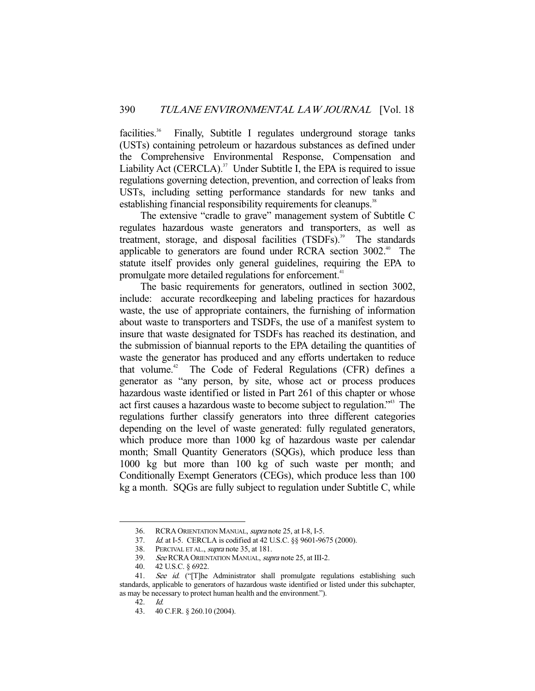facilities.<sup>36</sup> Finally, Subtitle I regulates underground storage tanks (USTs) containing petroleum or hazardous substances as defined under the Comprehensive Environmental Response, Compensation and Liability Act (CERCLA). $37$  Under Subtitle I, the EPA is required to issue regulations governing detection, prevention, and correction of leaks from USTs, including setting performance standards for new tanks and establishing financial responsibility requirements for cleanups.<sup>38</sup>

 The extensive "cradle to grave" management system of Subtitle C regulates hazardous waste generators and transporters, as well as treatment, storage, and disposal facilities (TSDFs).<sup>39</sup> The standards applicable to generators are found under RCRA section  $3002<sup>{40}</sup>$ . The statute itself provides only general guidelines, requiring the EPA to promulgate more detailed regulations for enforcement.<sup>41</sup>

 The basic requirements for generators, outlined in section 3002, include: accurate recordkeeping and labeling practices for hazardous waste, the use of appropriate containers, the furnishing of information about waste to transporters and TSDFs, the use of a manifest system to insure that waste designated for TSDFs has reached its destination, and the submission of biannual reports to the EPA detailing the quantities of waste the generator has produced and any efforts undertaken to reduce that volume.<sup>42</sup> The Code of Federal Regulations (CFR) defines a generator as "any person, by site, whose act or process produces hazardous waste identified or listed in Part 261 of this chapter or whose act first causes a hazardous waste to become subject to regulation."43 The regulations further classify generators into three different categories depending on the level of waste generated: fully regulated generators, which produce more than 1000 kg of hazardous waste per calendar month; Small Quantity Generators (SQGs), which produce less than 1000 kg but more than 100 kg of such waste per month; and Conditionally Exempt Generators (CEGs), which produce less than 100 kg a month. SQGs are fully subject to regulation under Subtitle C, while

 <sup>36.</sup> RCRA ORIENTATION MANUAL, supra note 25, at I-8, I-5.

 <sup>37.</sup> Id. at I-5. CERCLA is codified at 42 U.S.C. §§ 9601-9675 (2000).

<sup>38.</sup> PERCIVAL ET AL., *supra* note 35, at 181.

<sup>39.</sup> See RCRA ORIENTATION MANUAL, supra note 25, at III-2.

 <sup>40. 42</sup> U.S.C. § 6922.

<sup>41.</sup> See id. ("[T]he Administrator shall promulgate regulations establishing such standards, applicable to generators of hazardous waste identified or listed under this subchapter, as may be necessary to protect human health and the environment.").

 <sup>42.</sup> Id.

 <sup>43. 40</sup> C.F.R. § 260.10 (2004).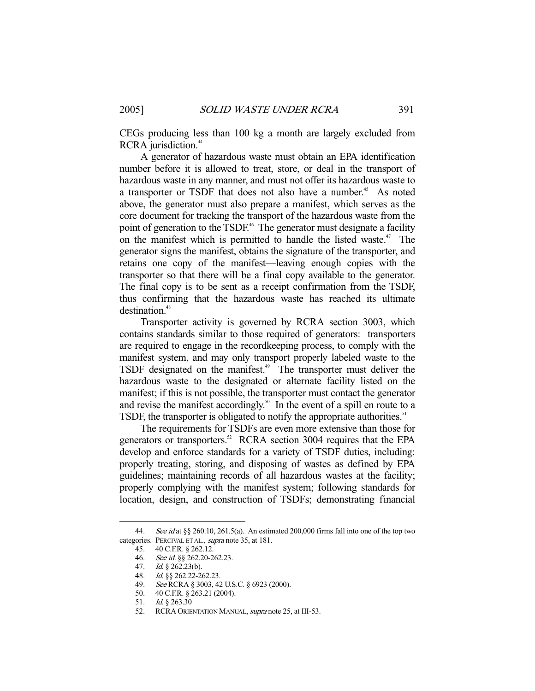CEGs producing less than 100 kg a month are largely excluded from RCRA jurisdiction.<sup>44</sup>

 A generator of hazardous waste must obtain an EPA identification number before it is allowed to treat, store, or deal in the transport of hazardous waste in any manner, and must not offer its hazardous waste to a transporter or TSDF that does not also have a number.<sup>45</sup> As noted above, the generator must also prepare a manifest, which serves as the core document for tracking the transport of the hazardous waste from the point of generation to the TSDF.<sup>46</sup> The generator must designate a facility on the manifest which is permitted to handle the listed waste.<sup>47</sup> The generator signs the manifest, obtains the signature of the transporter, and retains one copy of the manifest—leaving enough copies with the transporter so that there will be a final copy available to the generator. The final copy is to be sent as a receipt confirmation from the TSDF, thus confirming that the hazardous waste has reached its ultimate destination.<sup>48</sup>

 Transporter activity is governed by RCRA section 3003, which contains standards similar to those required of generators: transporters are required to engage in the recordkeeping process, to comply with the manifest system, and may only transport properly labeled waste to the TSDF designated on the manifest.<sup>49</sup> The transporter must deliver the hazardous waste to the designated or alternate facility listed on the manifest; if this is not possible, the transporter must contact the generator and revise the manifest accordingly.<sup>50</sup> In the event of a spill en route to a TSDF, the transporter is obligated to notify the appropriate authorities.<sup>51</sup>

 The requirements for TSDFs are even more extensive than those for generators or transporters.<sup>52</sup> RCRA section 3004 requires that the EPA develop and enforce standards for a variety of TSDF duties, including: properly treating, storing, and disposing of wastes as defined by EPA guidelines; maintaining records of all hazardous wastes at the facility; properly complying with the manifest system; following standards for location, design, and construction of TSDFs; demonstrating financial

<sup>44.</sup> See id at  $\S$  260.10, 261.5(a). An estimated 200,000 firms fall into one of the top two categories. PERCIVAL ET AL., *supra* note 35, at 181.

 <sup>45. 40</sup> C.F.R. § 262.12.

<sup>46.</sup> See id. §§ 262.20-262.23.

<sup>47.</sup> *Id.* § 262.23(b).

 <sup>48.</sup> Id. §§ 262.22-262.23.

 <sup>49.</sup> See RCRA § 3003, 42 U.S.C. § 6923 (2000).

 <sup>50. 40</sup> C.F.R. § 263.21 (2004).

 <sup>51.</sup> Id. § 263.30

<sup>52.</sup> RCRA ORIENTATION MANUAL, *supra* note 25, at III-53.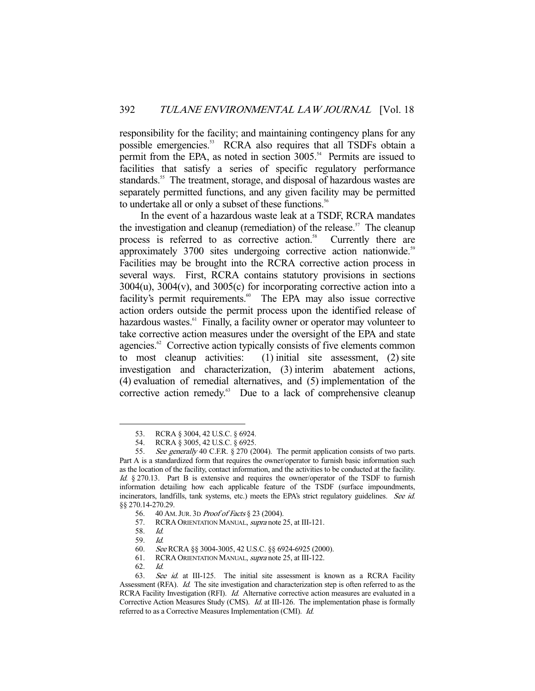responsibility for the facility; and maintaining contingency plans for any possible emergencies.<sup>53</sup> RCRA also requires that all TSDFs obtain a permit from the EPA, as noted in section  $3005$ <sup>54</sup> Permits are issued to facilities that satisfy a series of specific regulatory performance standards.<sup>55</sup> The treatment, storage, and disposal of hazardous wastes are separately permitted functions, and any given facility may be permitted to undertake all or only a subset of these functions.<sup>56</sup>

 In the event of a hazardous waste leak at a TSDF, RCRA mandates the investigation and cleanup (remediation) of the release.<sup>57</sup> The cleanup process is referred to as corrective action.<sup>58</sup> Currently there are approximately 3700 sites undergoing corrective action nationwide.<sup>59</sup> Facilities may be brought into the RCRA corrective action process in several ways. First, RCRA contains statutory provisions in sections  $3004(u)$ ,  $3004(v)$ , and  $3005(c)$  for incorporating corrective action into a facility's permit requirements.<sup>60</sup> The EPA may also issue corrective action orders outside the permit process upon the identified release of hazardous wastes. $61$  Finally, a facility owner or operator may volunteer to take corrective action measures under the oversight of the EPA and state agencies.<sup>62</sup> Corrective action typically consists of five elements common to most cleanup activities: (1) initial site assessment, (2) site investigation and characterization, (3) interim abatement actions, (4) evaluation of remedial alternatives, and (5) implementation of the corrective action remedy.<sup>63</sup> Due to a lack of comprehensive cleanup

 <sup>53.</sup> RCRA § 3004, 42 U.S.C. § 6924.

<sup>54.</sup> RCRA § 3005, 42 U.S.C. § 6925.<br>55. See generally 40 C.F.R. § 270 (2

See generally 40 C.F.R. § 270 (2004). The permit application consists of two parts. Part A is a standardized form that requires the owner/operator to furnish basic information such as the location of the facility, contact information, and the activities to be conducted at the facility. Id. § 270.13. Part B is extensive and requires the owner/operator of the TSDF to furnish information detailing how each applicable feature of the TSDF (surface impoundments, incinerators, landfills, tank systems, etc.) meets the EPA's strict regulatory guidelines. See id. §§ 270.14-270.29.

 <sup>56. 40</sup> AM.JUR. 3D Proof of Facts § 23 (2004).

<sup>57.</sup> RCRA ORIENTATION MANUAL, *supra* note 25, at III-121.

 <sup>58.</sup> Id.

 <sup>59.</sup> Id.

 <sup>60.</sup> See RCRA §§ 3004-3005, 42 U.S.C. §§ 6924-6925 (2000).

 <sup>61.</sup> RCRA ORIENTATION MANUAL, supra note 25, at III-122.

 <sup>62.</sup> Id.

<sup>63.</sup> See id. at III-125. The initial site assessment is known as a RCRA Facility Assessment (RFA). Id. The site investigation and characterization step is often referred to as the RCRA Facility Investigation (RFI). Id. Alternative corrective action measures are evaluated in a Corrective Action Measures Study (CMS). *Id.* at III-126. The implementation phase is formally referred to as a Corrective Measures Implementation (CMI). Id.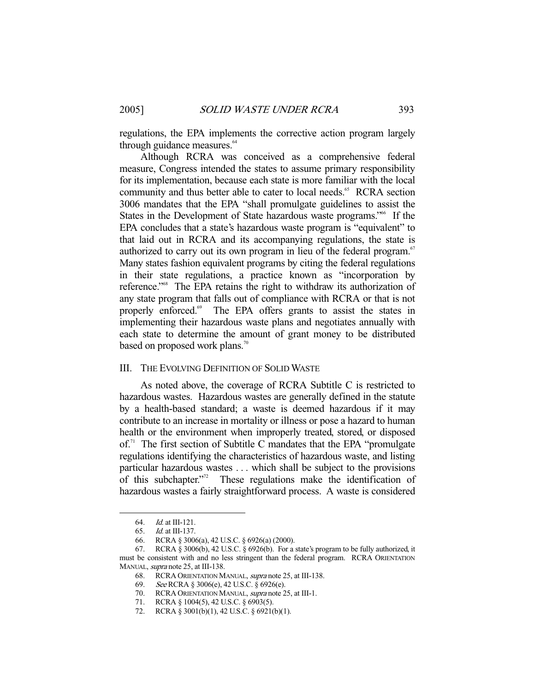regulations, the EPA implements the corrective action program largely through guidance measures.<sup>64</sup>

 Although RCRA was conceived as a comprehensive federal measure, Congress intended the states to assume primary responsibility for its implementation, because each state is more familiar with the local community and thus better able to cater to local needs.<sup>65</sup> RCRA section 3006 mandates that the EPA "shall promulgate guidelines to assist the States in the Development of State hazardous waste programs."<sup>66</sup> If the EPA concludes that a state's hazardous waste program is "equivalent" to that laid out in RCRA and its accompanying regulations, the state is authorized to carry out its own program in lieu of the federal program.<sup>67</sup> Many states fashion equivalent programs by citing the federal regulations in their state regulations, a practice known as "incorporation by reference."68 The EPA retains the right to withdraw its authorization of any state program that falls out of compliance with RCRA or that is not properly enforced.<sup>69</sup> The EPA offers grants to assist the states in implementing their hazardous waste plans and negotiates annually with each state to determine the amount of grant money to be distributed based on proposed work plans.<sup>70</sup>

#### III. THE EVOLVING DEFINITION OF SOLID WASTE

 As noted above, the coverage of RCRA Subtitle C is restricted to hazardous wastes. Hazardous wastes are generally defined in the statute by a health-based standard; a waste is deemed hazardous if it may contribute to an increase in mortality or illness or pose a hazard to human health or the environment when improperly treated, stored, or disposed  $of$ <sup>71</sup>. The first section of Subtitle C mandates that the EPA "promulgate" regulations identifying the characteristics of hazardous waste, and listing particular hazardous wastes . . . which shall be subject to the provisions of this subchapter."<sup>2</sup> These regulations make the identification of hazardous wastes a fairly straightforward process. A waste is considered

 <sup>64.</sup> Id. at III-121.

 <sup>65.</sup> Id. at III-137.

 <sup>66.</sup> RCRA § 3006(a), 42 U.S.C. § 6926(a) (2000).

 <sup>67.</sup> RCRA § 3006(b), 42 U.S.C. § 6926(b). For a state's program to be fully authorized, it must be consistent with and no less stringent than the federal program. RCRA ORIENTATION MANUAL, *supra* note 25, at III-138.

<sup>68.</sup> RCRA ORIENTATION MANUAL, supra note 25, at III-138.

 <sup>69.</sup> See RCRA § 3006(e), 42 U.S.C. § 6926(e).

 <sup>70.</sup> RCRA ORIENTATION MANUAL, supra note 25, at III-1.

<sup>71.</sup> RCRA § 1004(5), 42 U.S.C. § 6903(5).

<sup>72.</sup> RCRA § 3001(b)(1), 42 U.S.C. § 6921(b)(1).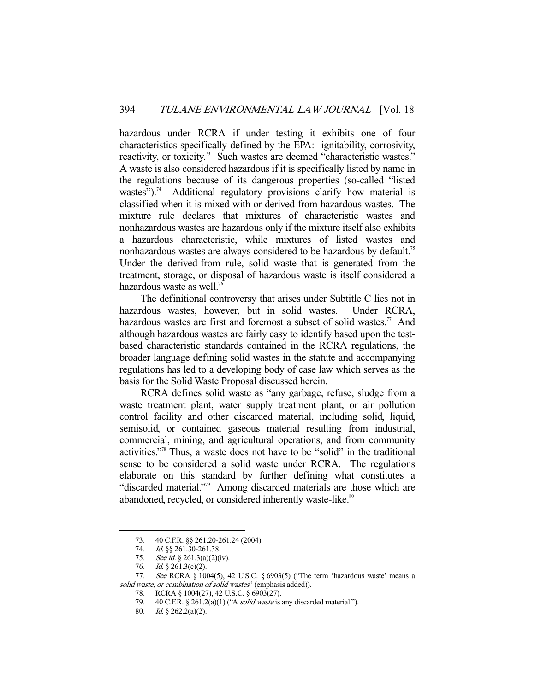hazardous under RCRA if under testing it exhibits one of four characteristics specifically defined by the EPA: ignitability, corrosivity, reactivity, or toxicity.<sup>73</sup> Such wastes are deemed "characteristic wastes." A waste is also considered hazardous if it is specifically listed by name in the regulations because of its dangerous properties (so-called "listed wastes").<sup>74</sup> Additional regulatory provisions clarify how material is classified when it is mixed with or derived from hazardous wastes. The mixture rule declares that mixtures of characteristic wastes and nonhazardous wastes are hazardous only if the mixture itself also exhibits a hazardous characteristic, while mixtures of listed wastes and nonhazardous wastes are always considered to be hazardous by default.<sup>75</sup> Under the derived-from rule, solid waste that is generated from the treatment, storage, or disposal of hazardous waste is itself considered a hazardous waste as well.<sup>76</sup>

 The definitional controversy that arises under Subtitle C lies not in hazardous wastes, however, but in solid wastes. Under RCRA, hazardous wastes are first and foremost a subset of solid wastes.<sup>77</sup> And although hazardous wastes are fairly easy to identify based upon the testbased characteristic standards contained in the RCRA regulations, the broader language defining solid wastes in the statute and accompanying regulations has led to a developing body of case law which serves as the basis for the Solid Waste Proposal discussed herein.

 RCRA defines solid waste as "any garbage, refuse, sludge from a waste treatment plant, water supply treatment plant, or air pollution control facility and other discarded material, including solid, liquid, semisolid, or contained gaseous material resulting from industrial, commercial, mining, and agricultural operations, and from community activities."78 Thus, a waste does not have to be "solid" in the traditional sense to be considered a solid waste under RCRA. The regulations elaborate on this standard by further defining what constitutes a "discarded material."<sup>79</sup> Among discarded materials are those which are abandoned, recycled, or considered inherently waste-like.<sup>80</sup>

 <sup>73. 40</sup> C.F.R. §§ 261.20-261.24 (2004).

<sup>74.</sup> *Id.* §§ 261.30-261.38.

<sup>75.</sup> See id.  $\S 261.3(a)(2)(iv)$ .

<sup>76.</sup> Id.  $\S$  261.3(c)(2).

<sup>77.</sup> See RCRA  $\S$  1004(5), 42 U.S.C.  $\S$  6903(5) ("The term 'hazardous waste' means a solid waste, or combination of solid wastes" (emphasis added)).

 <sup>78.</sup> RCRA § 1004(27), 42 U.S.C. § 6903(27).

<sup>79. 40</sup> C.F.R. § 261.2(a)(1) ("A *solid waste* is any discarded material.").

 <sup>80.</sup> Id. § 262.2(a)(2).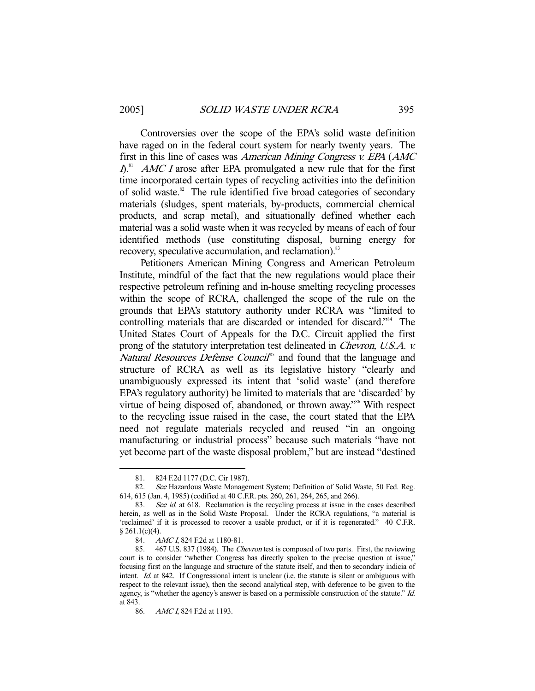Controversies over the scope of the EPA's solid waste definition have raged on in the federal court system for nearly twenty years. The first in this line of cases was American Mining Congress v. EPA (AMC  $I$ <sup>S1</sup> *AMC I* arose after EPA promulgated a new rule that for the first time incorporated certain types of recycling activities into the definition of solid waste.<sup>82</sup> The rule identified five broad categories of secondary materials (sludges, spent materials, by-products, commercial chemical products, and scrap metal), and situationally defined whether each material was a solid waste when it was recycled by means of each of four identified methods (use constituting disposal, burning energy for recovery, speculative accumulation, and reclamation).<sup>83</sup>

 Petitioners American Mining Congress and American Petroleum Institute, mindful of the fact that the new regulations would place their respective petroleum refining and in-house smelting recycling processes within the scope of RCRA, challenged the scope of the rule on the grounds that EPA's statutory authority under RCRA was "limited to controlling materials that are discarded or intended for discard."84 The United States Court of Appeals for the D.C. Circuit applied the first prong of the statutory interpretation test delineated in Chevron, U.S.A. v. Natural Resources Defense Council<sup>85</sup> and found that the language and structure of RCRA as well as its legislative history "clearly and unambiguously expressed its intent that 'solid waste' (and therefore EPA's regulatory authority) be limited to materials that are 'discarded' by virtue of being disposed of, abandoned, or thrown away."<sup>86</sup> With respect to the recycling issue raised in the case, the court stated that the EPA need not regulate materials recycled and reused "in an ongoing manufacturing or industrial process" because such materials "have not yet become part of the waste disposal problem," but are instead "destined

 <sup>81. 824</sup> F.2d 1177 (D.C. Cir 1987).

 <sup>82.</sup> See Hazardous Waste Management System; Definition of Solid Waste, 50 Fed. Reg. 614, 615 (Jan. 4, 1985) (codified at 40 C.F.R. pts. 260, 261, 264, 265, and 266).

<sup>83.</sup> See id. at 618. Reclamation is the recycling process at issue in the cases described herein, as well as in the Solid Waste Proposal. Under the RCRA regulations, "a material is 'reclaimed' if it is processed to recover a usable product, or if it is regenerated." 40 C.F.R.  $§ 261.1(c)(4).$ 

<sup>84.</sup> AMC I, 824 F.2d at 1180-81.

 <sup>85. 467</sup> U.S. 837 (1984). The Chevron test is composed of two parts. First, the reviewing court is to consider "whether Congress has directly spoken to the precise question at issue," focusing first on the language and structure of the statute itself, and then to secondary indicia of intent. Id. at 842. If Congressional intent is unclear (i.e. the statute is silent or ambiguous with respect to the relevant issue), then the second analytical step, with deference to be given to the agency, is "whether the agency's answer is based on a permissible construction of the statute." Id. at 843.

<sup>86.</sup> AMC I, 824 F.2d at 1193.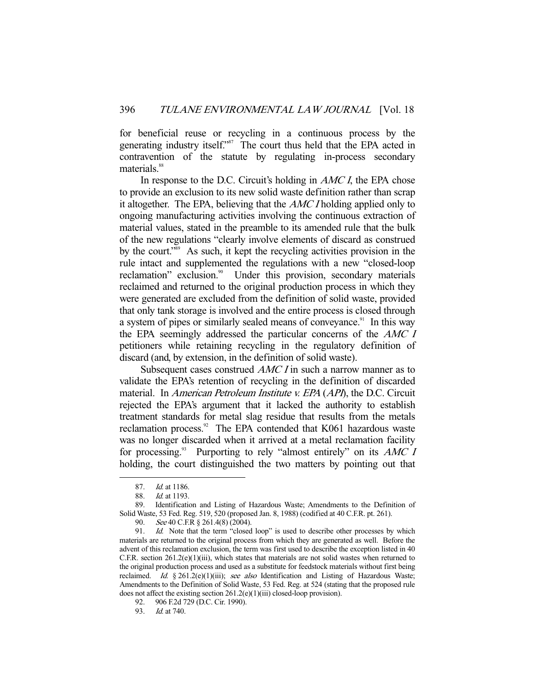for beneficial reuse or recycling in a continuous process by the generating industry itself."<sup>87</sup> The court thus held that the EPA acted in contravention of the statute by regulating in-process secondary materials.<sup>88</sup>

In response to the D.C. Circuit's holding in *AMC I*, the EPA chose to provide an exclusion to its new solid waste definition rather than scrap it altogether. The EPA, believing that the AMC I holding applied only to ongoing manufacturing activities involving the continuous extraction of material values, stated in the preamble to its amended rule that the bulk of the new regulations "clearly involve elements of discard as construed by the court."89 As such, it kept the recycling activities provision in the rule intact and supplemented the regulations with a new "closed-loop reclamation" exclusion.<sup>90</sup> Under this provision, secondary materials reclaimed and returned to the original production process in which they were generated are excluded from the definition of solid waste, provided that only tank storage is involved and the entire process is closed through a system of pipes or similarly sealed means of conveyance.<sup>91</sup> In this way the EPA seemingly addressed the particular concerns of the AMC I petitioners while retaining recycling in the regulatory definition of discard (and, by extension, in the definition of solid waste).

Subsequent cases construed *AMC I* in such a narrow manner as to validate the EPA's retention of recycling in the definition of discarded material. In *American Petroleum Institute v. EPA* (*API*), the D.C. Circuit rejected the EPA's argument that it lacked the authority to establish treatment standards for metal slag residue that results from the metals reclamation process.<sup>92</sup> The EPA contended that K061 hazardous waste was no longer discarded when it arrived at a metal reclamation facility for processing. $93$  Purporting to rely "almost entirely" on its AMC I holding, the court distinguished the two matters by pointing out that

 <sup>87.</sup> Id. at 1186.

 <sup>88.</sup> Id. at 1193.

 <sup>89.</sup> Identification and Listing of Hazardous Waste; Amendments to the Definition of Solid Waste, 53 Fed. Reg. 519, 520 (proposed Jan. 8, 1988) (codified at 40 C.F.R. pt. 261).

<sup>90.</sup> See 40 C.F.R § 261.4(8) (2004).

<sup>91.</sup> Id. Note that the term "closed loop" is used to describe other processes by which materials are returned to the original process from which they are generated as well. Before the advent of this reclamation exclusion, the term was first used to describe the exception listed in 40 C.F.R. section  $261.2(e)(1)(iii)$ , which states that materials are not solid wastes when returned to the original production process and used as a substitute for feedstock materials without first being reclaimed. Id. § 261.2(e)(1)(iii); see also Identification and Listing of Hazardous Waste; Amendments to the Definition of Solid Waste, 53 Fed. Reg. at 524 (stating that the proposed rule does not affect the existing section 261.2(e)(1)(iii) closed-loop provision).

 <sup>92. 906</sup> F.2d 729 (D.C. Cir. 1990).

 <sup>93.</sup> Id. at 740.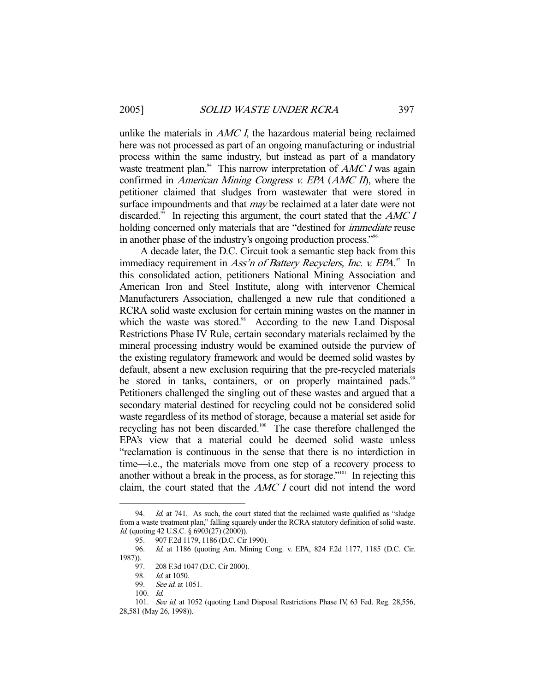unlike the materials in  $AMC I$ , the hazardous material being reclaimed here was not processed as part of an ongoing manufacturing or industrial process within the same industry, but instead as part of a mandatory waste treatment plan.<sup>94</sup> This narrow interpretation of  $AMC I$  was again confirmed in American Mining Congress v. EPA (AMC II), where the petitioner claimed that sludges from wastewater that were stored in surface impoundments and that *may* be reclaimed at a later date were not discarded.<sup>95</sup> In rejecting this argument, the court stated that the  $AMCI$ holding concerned only materials that are "destined for immediate reuse in another phase of the industry's ongoing production process."96

 A decade later, the D.C. Circuit took a semantic step back from this immediacy requirement in Ass'n of Battery Recyclers, Inc. v. EPA.<sup>97</sup> In this consolidated action, petitioners National Mining Association and American Iron and Steel Institute, along with intervenor Chemical Manufacturers Association, challenged a new rule that conditioned a RCRA solid waste exclusion for certain mining wastes on the manner in which the waste was stored.<sup>98</sup> According to the new Land Disposal Restrictions Phase IV Rule, certain secondary materials reclaimed by the mineral processing industry would be examined outside the purview of the existing regulatory framework and would be deemed solid wastes by default, absent a new exclusion requiring that the pre-recycled materials be stored in tanks, containers, or on properly maintained pads.<sup>99</sup> Petitioners challenged the singling out of these wastes and argued that a secondary material destined for recycling could not be considered solid waste regardless of its method of storage, because a material set aside for recycling has not been discarded.100 The case therefore challenged the EPA's view that a material could be deemed solid waste unless "reclamation is continuous in the sense that there is no interdiction in time—i.e., the materials move from one step of a recovery process to another without a break in the process, as for storage."101 In rejecting this claim, the court stated that the AMC I court did not intend the word

<sup>94.</sup> *Id.* at 741. As such, the court stated that the reclaimed waste qualified as "sludge" from a waste treatment plan," falling squarely under the RCRA statutory definition of solid waste. Id. (quoting 42 U.S.C. § 6903(27) (2000)).<br>95. 907 F.2d 1179, 1186 (D.C. Cir

 <sup>95. 907</sup> F.2d 1179, 1186 (D.C. Cir 1990).

 <sup>96.</sup> Id. at 1186 (quoting Am. Mining Cong. v. EPA, 824 F.2d 1177, 1185 (D.C. Cir. 1987)).

<sup>208</sup> F.3d 1047 (D.C. Cir 2000).

<sup>98.</sup> *Id.* at 1050.

<sup>99.</sup> *See id.* at 1051.

 <sup>100.</sup> Id.

<sup>101.</sup> See id. at 1052 (quoting Land Disposal Restrictions Phase IV, 63 Fed. Reg. 28,556, 28,581 (May 26, 1998)).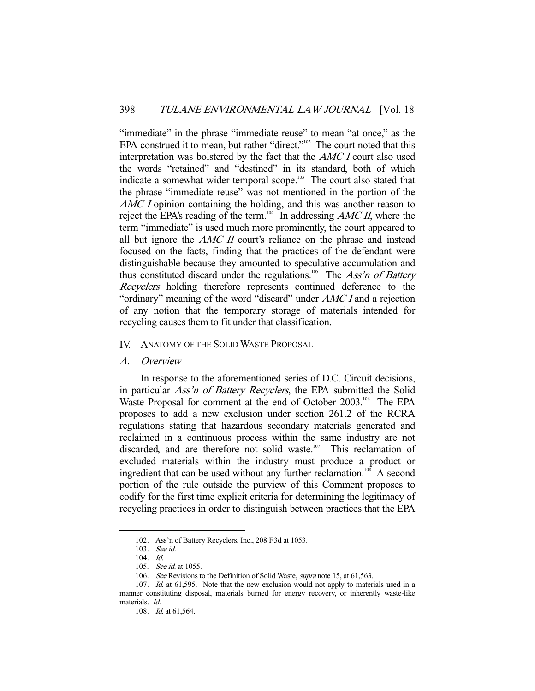"immediate" in the phrase "immediate reuse" to mean "at once," as the EPA construed it to mean, but rather "direct." $102$  The court noted that this interpretation was bolstered by the fact that the AMC I court also used the words "retained" and "destined" in its standard, both of which indicate a somewhat wider temporal scope.<sup>103</sup> The court also stated that the phrase "immediate reuse" was not mentioned in the portion of the AMC I opinion containing the holding, and this was another reason to reject the EPA's reading of the term.<sup>104</sup> In addressing *AMC II*, where the term "immediate" is used much more prominently, the court appeared to all but ignore the  $AMC$  II court's reliance on the phrase and instead focused on the facts, finding that the practices of the defendant were distinguishable because they amounted to speculative accumulation and thus constituted discard under the regulations.<sup>105</sup> The Ass'n of Battery Recyclers holding therefore represents continued deference to the "ordinary" meaning of the word "discard" under AMC I and a rejection of any notion that the temporary storage of materials intended for recycling causes them to fit under that classification.

# IV. ANATOMY OF THE SOLID WASTE PROPOSAL

#### A. Overview

 In response to the aforementioned series of D.C. Circuit decisions, in particular Ass'n of Battery Recyclers, the EPA submitted the Solid Waste Proposal for comment at the end of October 2003.<sup>106</sup> The EPA proposes to add a new exclusion under section 261.2 of the RCRA regulations stating that hazardous secondary materials generated and reclaimed in a continuous process within the same industry are not discarded, and are therefore not solid waste.<sup>107</sup> This reclamation of excluded materials within the industry must produce a product or ingredient that can be used without any further reclamation.<sup>108</sup> A second portion of the rule outside the purview of this Comment proposes to codify for the first time explicit criteria for determining the legitimacy of recycling practices in order to distinguish between practices that the EPA

 <sup>102.</sup> Ass'n of Battery Recyclers, Inc., 208 F.3d at 1053.

 <sup>103.</sup> See id.

 <sup>104.</sup> Id.

 <sup>105.</sup> See id. at 1055.

<sup>106.</sup> See Revisions to the Definition of Solid Waste, *supra* note 15, at 61,563.

<sup>107.</sup> Id. at 61,595. Note that the new exclusion would not apply to materials used in a manner constituting disposal, materials burned for energy recovery, or inherently waste-like materials. Id.

 <sup>108.</sup> Id. at 61,564.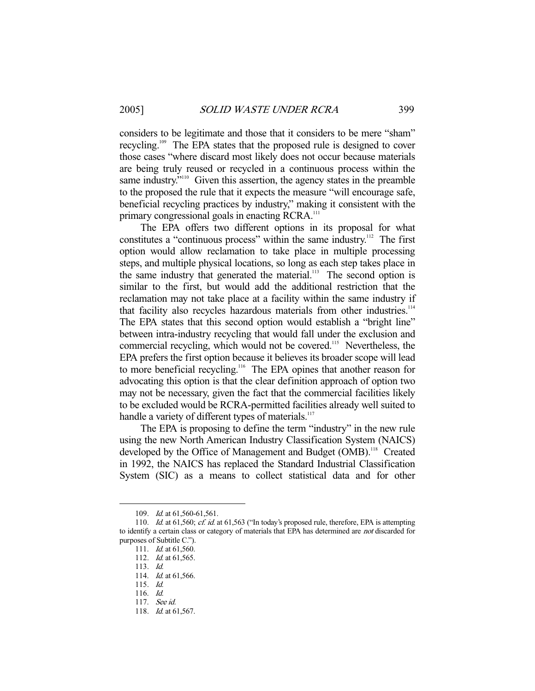considers to be legitimate and those that it considers to be mere "sham" recycling.109 The EPA states that the proposed rule is designed to cover those cases "where discard most likely does not occur because materials are being truly reused or recycled in a continuous process within the same industry.<sup>"110</sup> Given this assertion, the agency states in the preamble to the proposed the rule that it expects the measure "will encourage safe, beneficial recycling practices by industry," making it consistent with the primary congressional goals in enacting RCRA.<sup>111</sup>

 The EPA offers two different options in its proposal for what constitutes a "continuous process" within the same industry.<sup>112</sup> The first option would allow reclamation to take place in multiple processing steps, and multiple physical locations, so long as each step takes place in the same industry that generated the material. $113$  The second option is similar to the first, but would add the additional restriction that the reclamation may not take place at a facility within the same industry if that facility also recycles hazardous materials from other industries.<sup>114</sup> The EPA states that this second option would establish a "bright line" between intra-industry recycling that would fall under the exclusion and commercial recycling, which would not be covered.<sup>115</sup> Nevertheless, the EPA prefers the first option because it believes its broader scope will lead to more beneficial recycling.<sup>116</sup> The EPA opines that another reason for advocating this option is that the clear definition approach of option two may not be necessary, given the fact that the commercial facilities likely to be excluded would be RCRA-permitted facilities already well suited to handle a variety of different types of materials.<sup>117</sup>

 The EPA is proposing to define the term "industry" in the new rule using the new North American Industry Classification System (NAICS) developed by the Office of Management and Budget (OMB).<sup>118</sup> Created in 1992, the NAICS has replaced the Standard Industrial Classification System (SIC) as a means to collect statistical data and for other

<sup>109.</sup> *Id.* at 61,560-61,561.

<sup>110.</sup> Id. at 61,560; cf. id. at 61,563 ("In today's proposed rule, therefore, EPA is attempting to identify a certain class or category of materials that EPA has determined are not discarded for purposes of Subtitle C.").

<sup>111.</sup> *Id.* at 61,560.

<sup>112.</sup> *Id.* at 61,565.

 <sup>113.</sup> Id.

 <sup>114.</sup> Id. at 61,566.

 <sup>115.</sup> Id.

 <sup>116.</sup> Id.

 <sup>117.</sup> See id.

<sup>118.</sup> *Id.* at 61,567.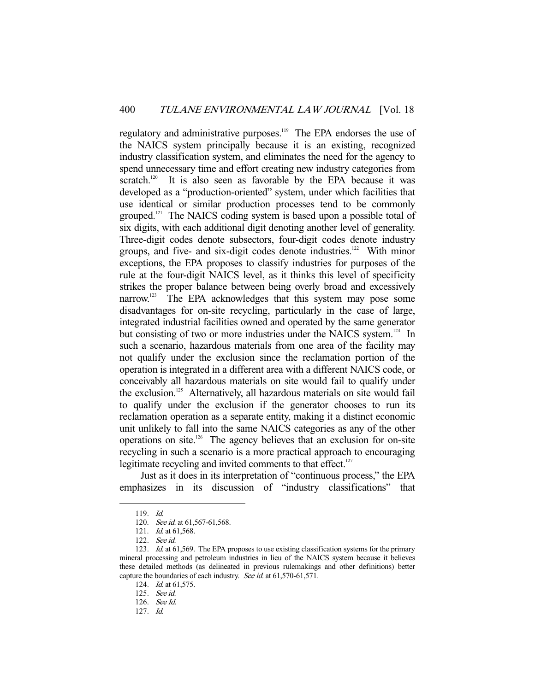regulatory and administrative purposes.<sup>119</sup> The EPA endorses the use of the NAICS system principally because it is an existing, recognized industry classification system, and eliminates the need for the agency to spend unnecessary time and effort creating new industry categories from scratch.<sup>120</sup> It is also seen as favorable by the EPA because it was developed as a "production-oriented" system, under which facilities that use identical or similar production processes tend to be commonly grouped.<sup>121</sup> The NAICS coding system is based upon a possible total of six digits, with each additional digit denoting another level of generality. Three-digit codes denote subsectors, four-digit codes denote industry groups, and five- and six-digit codes denote industries.<sup>122</sup> With minor exceptions, the EPA proposes to classify industries for purposes of the rule at the four-digit NAICS level, as it thinks this level of specificity strikes the proper balance between being overly broad and excessively narrow.<sup>123</sup> The EPA acknowledges that this system may pose some disadvantages for on-site recycling, particularly in the case of large, integrated industrial facilities owned and operated by the same generator but consisting of two or more industries under the NAICS system.<sup>124</sup> In such a scenario, hazardous materials from one area of the facility may not qualify under the exclusion since the reclamation portion of the operation is integrated in a different area with a different NAICS code, or conceivably all hazardous materials on site would fail to qualify under the exclusion.125 Alternatively, all hazardous materials on site would fail to qualify under the exclusion if the generator chooses to run its reclamation operation as a separate entity, making it a distinct economic unit unlikely to fall into the same NAICS categories as any of the other operations on site.126 The agency believes that an exclusion for on-site recycling in such a scenario is a more practical approach to encouraging legitimate recycling and invited comments to that effect. $127$ 

 Just as it does in its interpretation of "continuous process," the EPA emphasizes in its discussion of "industry classifications" that

 <sup>119.</sup> Id.

<sup>120.</sup> See id. at 61,567-61,568.

 <sup>121.</sup> Id. at 61,568.

 <sup>122.</sup> See id.

<sup>123.</sup> *Id.* at 61,569. The EPA proposes to use existing classification systems for the primary mineral processing and petroleum industries in lieu of the NAICS system because it believes these detailed methods (as delineated in previous rulemakings and other definitions) better capture the boundaries of each industry. See id. at 61,570-61,571.

<sup>124.</sup> *Id.* at 61,575.

 <sup>125.</sup> See id.

 <sup>126.</sup> See Id.

 <sup>127.</sup> Id.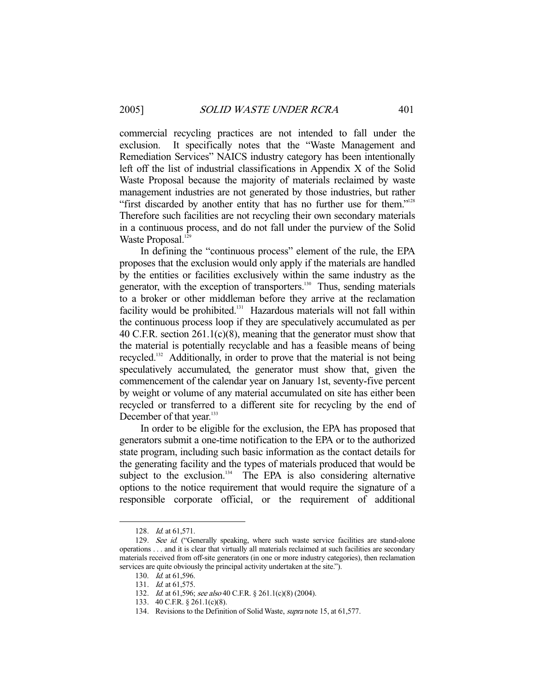commercial recycling practices are not intended to fall under the exclusion. It specifically notes that the "Waste Management and Remediation Services" NAICS industry category has been intentionally left off the list of industrial classifications in Appendix X of the Solid Waste Proposal because the majority of materials reclaimed by waste management industries are not generated by those industries, but rather "first discarded by another entity that has no further use for them."<sup>128</sup> Therefore such facilities are not recycling their own secondary materials in a continuous process, and do not fall under the purview of the Solid Waste Proposal.<sup>129</sup>

 In defining the "continuous process" element of the rule, the EPA proposes that the exclusion would only apply if the materials are handled by the entities or facilities exclusively within the same industry as the generator, with the exception of transporters.<sup>130</sup> Thus, sending materials to a broker or other middleman before they arrive at the reclamation facility would be prohibited.<sup>131</sup> Hazardous materials will not fall within the continuous process loop if they are speculatively accumulated as per 40 C.F.R. section 261.1(c)(8), meaning that the generator must show that the material is potentially recyclable and has a feasible means of being recycled.132 Additionally, in order to prove that the material is not being speculatively accumulated, the generator must show that, given the commencement of the calendar year on January 1st, seventy-five percent by weight or volume of any material accumulated on site has either been recycled or transferred to a different site for recycling by the end of December of that year.<sup>133</sup>

 In order to be eligible for the exclusion, the EPA has proposed that generators submit a one-time notification to the EPA or to the authorized state program, including such basic information as the contact details for the generating facility and the types of materials produced that would be subject to the exclusion. $134$  The EPA is also considering alternative options to the notice requirement that would require the signature of a responsible corporate official, or the requirement of additional

 <sup>128.</sup> Id. at 61,571.

<sup>129.</sup> See id. ("Generally speaking, where such waste service facilities are stand-alone operations . . . and it is clear that virtually all materials reclaimed at such facilities are secondary materials received from off-site generators (in one or more industry categories), then reclamation services are quite obviously the principal activity undertaken at the site.").

 <sup>130.</sup> Id. at 61,596.

 <sup>131.</sup> Id. at 61,575.

<sup>132.</sup> Id. at 61,596; see also 40 C.F.R. § 261.1(c)(8) (2004).

 <sup>133. 40</sup> C.F.R. § 261.1(c)(8).

<sup>134.</sup> Revisions to the Definition of Solid Waste, *supra* note 15, at 61,577.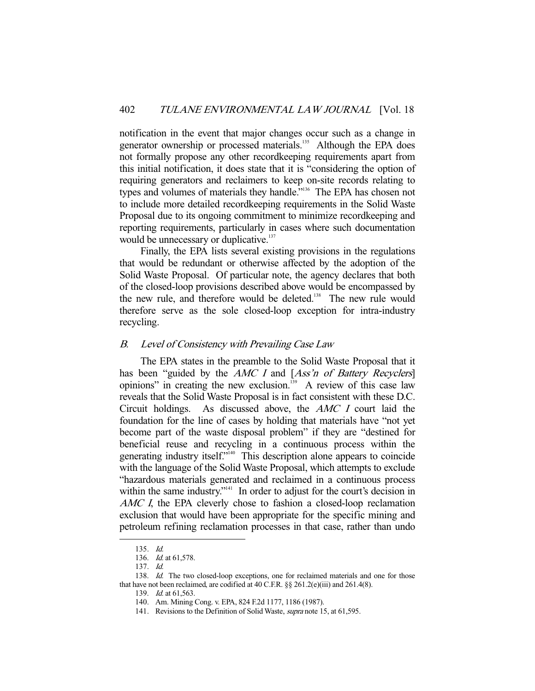notification in the event that major changes occur such as a change in generator ownership or processed materials.<sup>135</sup> Although the EPA does not formally propose any other recordkeeping requirements apart from this initial notification, it does state that it is "considering the option of requiring generators and reclaimers to keep on-site records relating to types and volumes of materials they handle."136 The EPA has chosen not to include more detailed recordkeeping requirements in the Solid Waste Proposal due to its ongoing commitment to minimize recordkeeping and reporting requirements, particularly in cases where such documentation would be unnecessary or duplicative.<sup>137</sup>

 Finally, the EPA lists several existing provisions in the regulations that would be redundant or otherwise affected by the adoption of the Solid Waste Proposal. Of particular note, the agency declares that both of the closed-loop provisions described above would be encompassed by the new rule, and therefore would be deleted.<sup>138</sup> The new rule would therefore serve as the sole closed-loop exception for intra-industry recycling.

## B. Level of Consistency with Prevailing Case Law

 The EPA states in the preamble to the Solid Waste Proposal that it has been "guided by the AMC I and [Ass'n of Battery Recyclers] opinions" in creating the new exclusion. $139$  A review of this case law reveals that the Solid Waste Proposal is in fact consistent with these D.C. Circuit holdings. As discussed above, the AMC I court laid the foundation for the line of cases by holding that materials have "not yet become part of the waste disposal problem" if they are "destined for beneficial reuse and recycling in a continuous process within the generating industry itself."140 This description alone appears to coincide with the language of the Solid Waste Proposal, which attempts to exclude "hazardous materials generated and reclaimed in a continuous process within the same industry."<sup>141</sup> In order to adjust for the court's decision in AMC I, the EPA cleverly chose to fashion a closed-loop reclamation exclusion that would have been appropriate for the specific mining and petroleum refining reclamation processes in that case, rather than undo

 <sup>135.</sup> Id.

 <sup>136.</sup> Id. at 61,578.

 <sup>137.</sup> Id.

<sup>138.</sup> Id. The two closed-loop exceptions, one for reclaimed materials and one for those that have not been reclaimed, are codified at 40 C.F.R.  $\S § 261.2(e)$ (iii) and  $261.4(8)$ .

 <sup>139.</sup> Id. at 61,563.

 <sup>140.</sup> Am. Mining Cong. v. EPA, 824 F.2d 1177, 1186 (1987).

<sup>141.</sup> Revisions to the Definition of Solid Waste, *supra* note 15, at 61,595.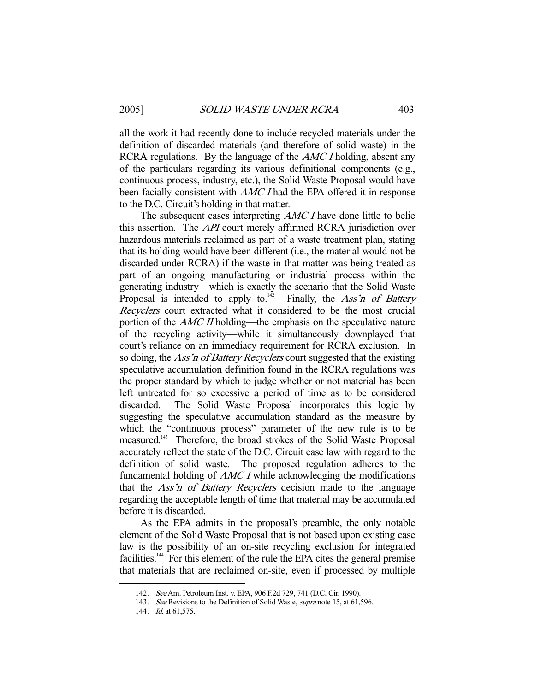all the work it had recently done to include recycled materials under the definition of discarded materials (and therefore of solid waste) in the RCRA regulations. By the language of the *AMC I* holding, absent any of the particulars regarding its various definitional components (e.g., continuous process, industry, etc.), the Solid Waste Proposal would have been facially consistent with *AMC I* had the EPA offered it in response to the D.C. Circuit's holding in that matter.

The subsequent cases interpreting *AMC I* have done little to belie this assertion. The *API* court merely affirmed RCRA jurisdiction over hazardous materials reclaimed as part of a waste treatment plan, stating that its holding would have been different (i.e., the material would not be discarded under RCRA) if the waste in that matter was being treated as part of an ongoing manufacturing or industrial process within the generating industry—which is exactly the scenario that the Solid Waste Proposal is intended to apply to.<sup>142</sup> Finally, the Ass'n of Battery Recyclers court extracted what it considered to be the most crucial portion of the *AMC II* holding—the emphasis on the speculative nature of the recycling activity—while it simultaneously downplayed that court's reliance on an immediacy requirement for RCRA exclusion. In so doing, the *Ass'n of Battery Recyclers* court suggested that the existing speculative accumulation definition found in the RCRA regulations was the proper standard by which to judge whether or not material has been left untreated for so excessive a period of time as to be considered discarded. The Solid Waste Proposal incorporates this logic by suggesting the speculative accumulation standard as the measure by which the "continuous process" parameter of the new rule is to be measured.143 Therefore, the broad strokes of the Solid Waste Proposal accurately reflect the state of the D.C. Circuit case law with regard to the definition of solid waste. The proposed regulation adheres to the fundamental holding of AMC I while acknowledging the modifications that the Ass'n of Battery Recyclers decision made to the language regarding the acceptable length of time that material may be accumulated before it is discarded.

 As the EPA admits in the proposal's preamble, the only notable element of the Solid Waste Proposal that is not based upon existing case law is the possibility of an on-site recycling exclusion for integrated facilities.<sup>144</sup> For this element of the rule the EPA cites the general premise that materials that are reclaimed on-site, even if processed by multiple

 <sup>142.</sup> See Am. Petroleum Inst. v. EPA, 906 F.2d 729, 741 (D.C. Cir. 1990).

<sup>143.</sup> See Revisions to the Definition of Solid Waste, supra note 15, at 61,596.

<sup>144.</sup> *Id.* at 61.575.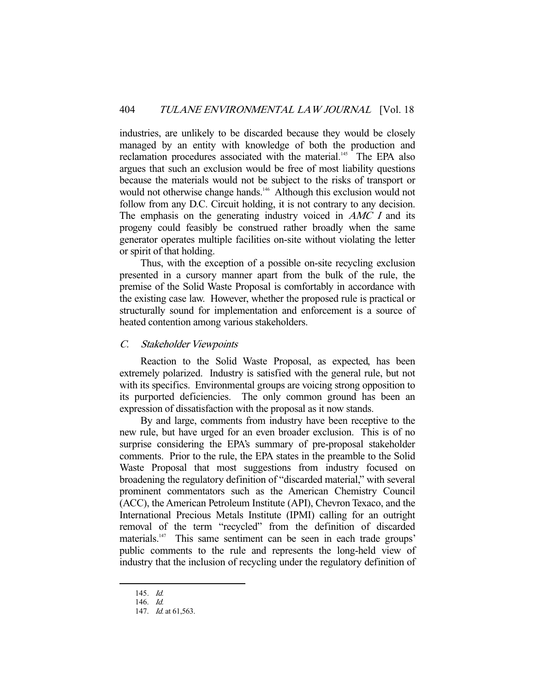industries, are unlikely to be discarded because they would be closely managed by an entity with knowledge of both the production and reclamation procedures associated with the material.<sup>145</sup> The EPA also argues that such an exclusion would be free of most liability questions because the materials would not be subject to the risks of transport or would not otherwise change hands.<sup>146</sup> Although this exclusion would not follow from any D.C. Circuit holding, it is not contrary to any decision. The emphasis on the generating industry voiced in AMC I and its progeny could feasibly be construed rather broadly when the same generator operates multiple facilities on-site without violating the letter or spirit of that holding.

 Thus, with the exception of a possible on-site recycling exclusion presented in a cursory manner apart from the bulk of the rule, the premise of the Solid Waste Proposal is comfortably in accordance with the existing case law. However, whether the proposed rule is practical or structurally sound for implementation and enforcement is a source of heated contention among various stakeholders.

# C. Stakeholder Viewpoints

 Reaction to the Solid Waste Proposal, as expected, has been extremely polarized. Industry is satisfied with the general rule, but not with its specifics. Environmental groups are voicing strong opposition to its purported deficiencies. The only common ground has been an expression of dissatisfaction with the proposal as it now stands.

 By and large, comments from industry have been receptive to the new rule, but have urged for an even broader exclusion. This is of no surprise considering the EPA's summary of pre-proposal stakeholder comments. Prior to the rule, the EPA states in the preamble to the Solid Waste Proposal that most suggestions from industry focused on broadening the regulatory definition of "discarded material," with several prominent commentators such as the American Chemistry Council (ACC), the American Petroleum Institute (API), Chevron Texaco, and the International Precious Metals Institute (IPMI) calling for an outright removal of the term "recycled" from the definition of discarded materials.<sup>147</sup> This same sentiment can be seen in each trade groups' public comments to the rule and represents the long-held view of industry that the inclusion of recycling under the regulatory definition of

 <sup>145.</sup> Id.

 <sup>146.</sup> Id.

<sup>147.</sup> *Id.* at 61,563.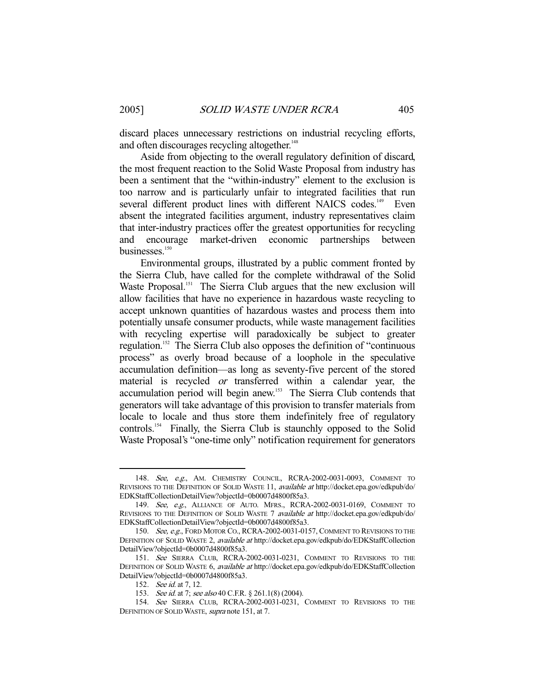discard places unnecessary restrictions on industrial recycling efforts, and often discourages recycling altogether.<sup>148</sup>

 Aside from objecting to the overall regulatory definition of discard, the most frequent reaction to the Solid Waste Proposal from industry has been a sentiment that the "within-industry" element to the exclusion is too narrow and is particularly unfair to integrated facilities that run several different product lines with different NAICS codes.<sup>149</sup> Even absent the integrated facilities argument, industry representatives claim that inter-industry practices offer the greatest opportunities for recycling and encourage market-driven economic partnerships between businesses.<sup>150</sup>

 Environmental groups, illustrated by a public comment fronted by the Sierra Club, have called for the complete withdrawal of the Solid Waste Proposal.<sup>151</sup> The Sierra Club argues that the new exclusion will allow facilities that have no experience in hazardous waste recycling to accept unknown quantities of hazardous wastes and process them into potentially unsafe consumer products, while waste management facilities with recycling expertise will paradoxically be subject to greater regulation.152 The Sierra Club also opposes the definition of "continuous process" as overly broad because of a loophole in the speculative accumulation definition—as long as seventy-five percent of the stored material is recycled or transferred within a calendar year, the accumulation period will begin anew.<sup>153</sup> The Sierra Club contends that generators will take advantage of this provision to transfer materials from locale to locale and thus store them indefinitely free of regulatory controls.154 Finally, the Sierra Club is staunchly opposed to the Solid Waste Proposal's "one-time only" notification requirement for generators

 <sup>148.</sup> See, e.g., AM. CHEMISTRY COUNCIL, RCRA-2002-0031-0093, COMMENT TO REVISIONS TO THE DEFINITION OF SOLID WASTE 11, available at http://docket.epa.gov/edkpub/do/ EDKStaffCollectionDetailView?objectId=0b0007d4800f85a3.

 <sup>149.</sup> See, e.g., ALLIANCE OF AUTO. MFRS., RCRA-2002-0031-0169, COMMENT TO REVISIONS TO THE DEFINITION OF SOLID WASTE 7 available at http://docket.epa.gov/edkpub/do/ EDKStaffCollectionDetailView?objectId=0b0007d4800f85a3.

<sup>150.</sup> See, e.g., FORD MOTOR CO., RCRA-2002-0031-0157, COMMENT TO REVISIONS TO THE DEFINITION OF SOLID WASTE 2, available at http://docket.epa.gov/edkpub/do/EDKStaffCollection DetailView?objectId=0b0007d4800f85a3.

 <sup>151.</sup> See SIERRA CLUB, RCRA-2002-0031-0231, COMMENT TO REVISIONS TO THE DEFINITION OF SOLID WASTE 6, available at http://docket.epa.gov/edkpub/do/EDKStaffCollection DetailView?objectId=0b0007d4800f85a3.

<sup>152.</sup> *See id.* at 7, 12.

<sup>153.</sup> See id. at 7; see also 40 C.F.R. § 261.1(8) (2004).

 <sup>154.</sup> See SIERRA CLUB, RCRA-2002-0031-0231, COMMENT TO REVISIONS TO THE DEFINITION OF SOLID WASTE, supra note 151, at 7.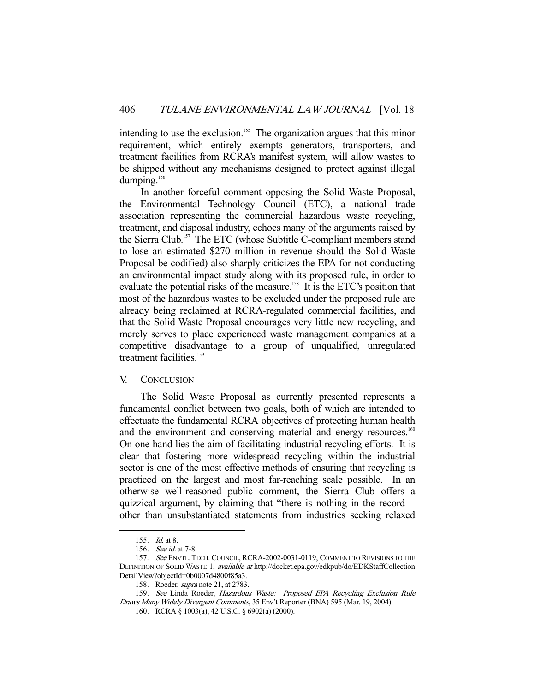intending to use the exclusion.<sup>155</sup> The organization argues that this minor requirement, which entirely exempts generators, transporters, and treatment facilities from RCRA's manifest system, will allow wastes to be shipped without any mechanisms designed to protect against illegal dumping.<sup>156</sup>

 In another forceful comment opposing the Solid Waste Proposal, the Environmental Technology Council (ETC), a national trade association representing the commercial hazardous waste recycling, treatment, and disposal industry, echoes many of the arguments raised by the Sierra Club.<sup>157</sup> The ETC (whose Subtitle C-compliant members stand to lose an estimated \$270 million in revenue should the Solid Waste Proposal be codified) also sharply criticizes the EPA for not conducting an environmental impact study along with its proposed rule, in order to evaluate the potential risks of the measure.<sup>158</sup> It is the ETC's position that most of the hazardous wastes to be excluded under the proposed rule are already being reclaimed at RCRA-regulated commercial facilities, and that the Solid Waste Proposal encourages very little new recycling, and merely serves to place experienced waste management companies at a competitive disadvantage to a group of unqualified, unregulated treatment facilities.<sup>159</sup>

## V. CONCLUSION

 The Solid Waste Proposal as currently presented represents a fundamental conflict between two goals, both of which are intended to effectuate the fundamental RCRA objectives of protecting human health and the environment and conserving material and energy resources.<sup>160</sup> On one hand lies the aim of facilitating industrial recycling efforts. It is clear that fostering more widespread recycling within the industrial sector is one of the most effective methods of ensuring that recycling is practiced on the largest and most far-reaching scale possible. In an otherwise well-reasoned public comment, the Sierra Club offers a quizzical argument, by claiming that "there is nothing in the record other than unsubstantiated statements from industries seeking relaxed

 <sup>155.</sup> Id. at 8.

 <sup>156.</sup> See id. at 7-8.

<sup>157.</sup> See ENVTL. TECH. COUNCIL, RCRA-2002-0031-0119, COMMENT TO REVISIONS TO THE DEFINITION OF SOLID WASTE 1, available at http://docket.epa.gov/edkpub/do/EDKStaffCollection DetailView?objectId=0b0007d4800f85a3.

<sup>158.</sup> Roeder, *supra* note 21, at 2783.

<sup>159.</sup> See Linda Roeder, Hazardous Waste: Proposed EPA Recycling Exclusion Rule Draws Many Widely Divergent Comments, 35 Env't Reporter (BNA) 595 (Mar. 19, 2004).

 <sup>160.</sup> RCRA § 1003(a), 42 U.S.C. § 6902(a) (2000).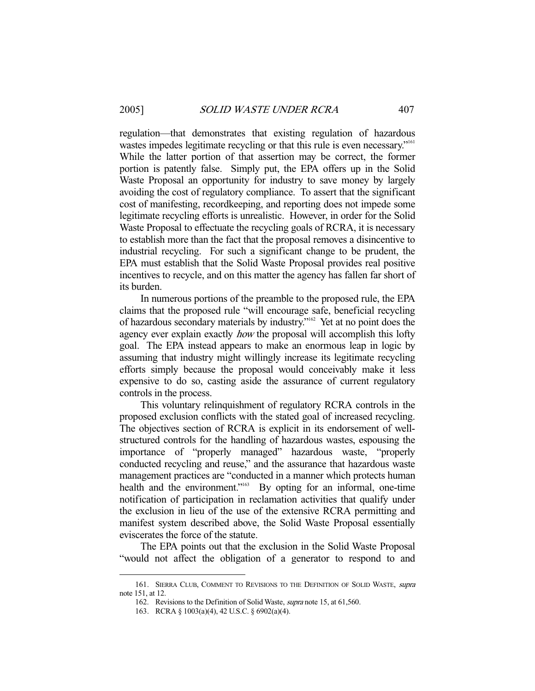regulation—that demonstrates that existing regulation of hazardous wastes impedes legitimate recycling or that this rule is even necessary."<sup>161</sup> While the latter portion of that assertion may be correct, the former portion is patently false. Simply put, the EPA offers up in the Solid Waste Proposal an opportunity for industry to save money by largely avoiding the cost of regulatory compliance. To assert that the significant cost of manifesting, recordkeeping, and reporting does not impede some legitimate recycling efforts is unrealistic. However, in order for the Solid Waste Proposal to effectuate the recycling goals of RCRA, it is necessary to establish more than the fact that the proposal removes a disincentive to industrial recycling. For such a significant change to be prudent, the EPA must establish that the Solid Waste Proposal provides real positive incentives to recycle, and on this matter the agency has fallen far short of its burden.

 In numerous portions of the preamble to the proposed rule, the EPA claims that the proposed rule "will encourage safe, beneficial recycling of hazardous secondary materials by industry."162 Yet at no point does the agency ever explain exactly *how* the proposal will accomplish this lofty goal. The EPA instead appears to make an enormous leap in logic by assuming that industry might willingly increase its legitimate recycling efforts simply because the proposal would conceivably make it less expensive to do so, casting aside the assurance of current regulatory controls in the process.

 This voluntary relinquishment of regulatory RCRA controls in the proposed exclusion conflicts with the stated goal of increased recycling. The objectives section of RCRA is explicit in its endorsement of wellstructured controls for the handling of hazardous wastes, espousing the importance of "properly managed" hazardous waste, "properly conducted recycling and reuse," and the assurance that hazardous waste management practices are "conducted in a manner which protects human health and the environment."<sup>163</sup> By opting for an informal, one-time notification of participation in reclamation activities that qualify under the exclusion in lieu of the use of the extensive RCRA permitting and manifest system described above, the Solid Waste Proposal essentially eviscerates the force of the statute.

 The EPA points out that the exclusion in the Solid Waste Proposal "would not affect the obligation of a generator to respond to and

<sup>161.</sup> SIERRA CLUB, COMMENT TO REVISIONS TO THE DEFINITION OF SOLID WASTE, supra note 151, at 12.

 <sup>162.</sup> Revisions to the Definition of Solid Waste, supra note 15, at 61,560.

 <sup>163.</sup> RCRA § 1003(a)(4), 42 U.S.C. § 6902(a)(4).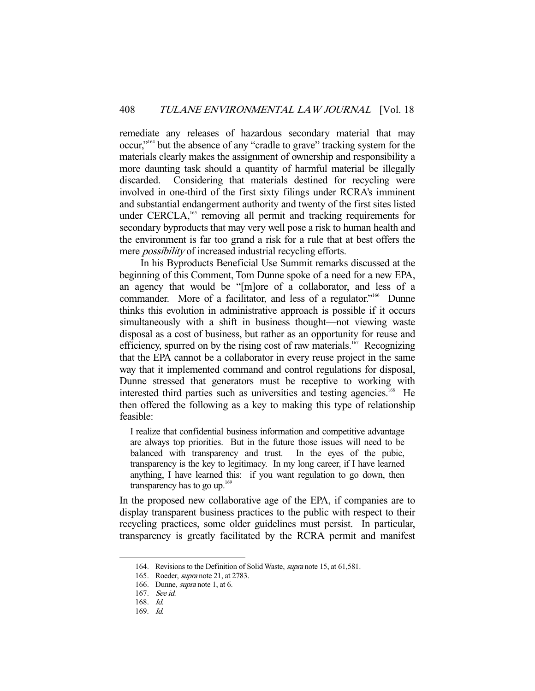remediate any releases of hazardous secondary material that may occur,"164 but the absence of any "cradle to grave" tracking system for the materials clearly makes the assignment of ownership and responsibility a more daunting task should a quantity of harmful material be illegally discarded. Considering that materials destined for recycling were involved in one-third of the first sixty filings under RCRA's imminent and substantial endangerment authority and twenty of the first sites listed under CERCLA,<sup>165</sup> removing all permit and tracking requirements for secondary byproducts that may very well pose a risk to human health and the environment is far too grand a risk for a rule that at best offers the mere *possibility* of increased industrial recycling efforts.

 In his Byproducts Beneficial Use Summit remarks discussed at the beginning of this Comment, Tom Dunne spoke of a need for a new EPA, an agency that would be "[m]ore of a collaborator, and less of a commander. More of a facilitator, and less of a regulator."<sup>166</sup> Dunne thinks this evolution in administrative approach is possible if it occurs simultaneously with a shift in business thought—not viewing waste disposal as a cost of business, but rather as an opportunity for reuse and efficiency, spurred on by the rising cost of raw materials.<sup>167</sup> Recognizing that the EPA cannot be a collaborator in every reuse project in the same way that it implemented command and control regulations for disposal, Dunne stressed that generators must be receptive to working with interested third parties such as universities and testing agencies.<sup>168</sup> He then offered the following as a key to making this type of relationship feasible:

I realize that confidential business information and competitive advantage are always top priorities. But in the future those issues will need to be balanced with transparency and trust. In the eyes of the pubic, transparency is the key to legitimacy. In my long career, if I have learned anything, I have learned this: if you want regulation to go down, then transparency has to go up.<sup>169</sup>

In the proposed new collaborative age of the EPA, if companies are to display transparent business practices to the public with respect to their recycling practices, some older guidelines must persist. In particular, transparency is greatly facilitated by the RCRA permit and manifest

 <sup>164.</sup> Revisions to the Definition of Solid Waste, supra note 15, at 61,581.

<sup>165.</sup> Roeder, *supra* note 21, at 2783.

<sup>166.</sup> Dunne, *supra* note 1, at 6.

 <sup>167.</sup> See id.

 <sup>168.</sup> Id.

 <sup>169.</sup> Id.